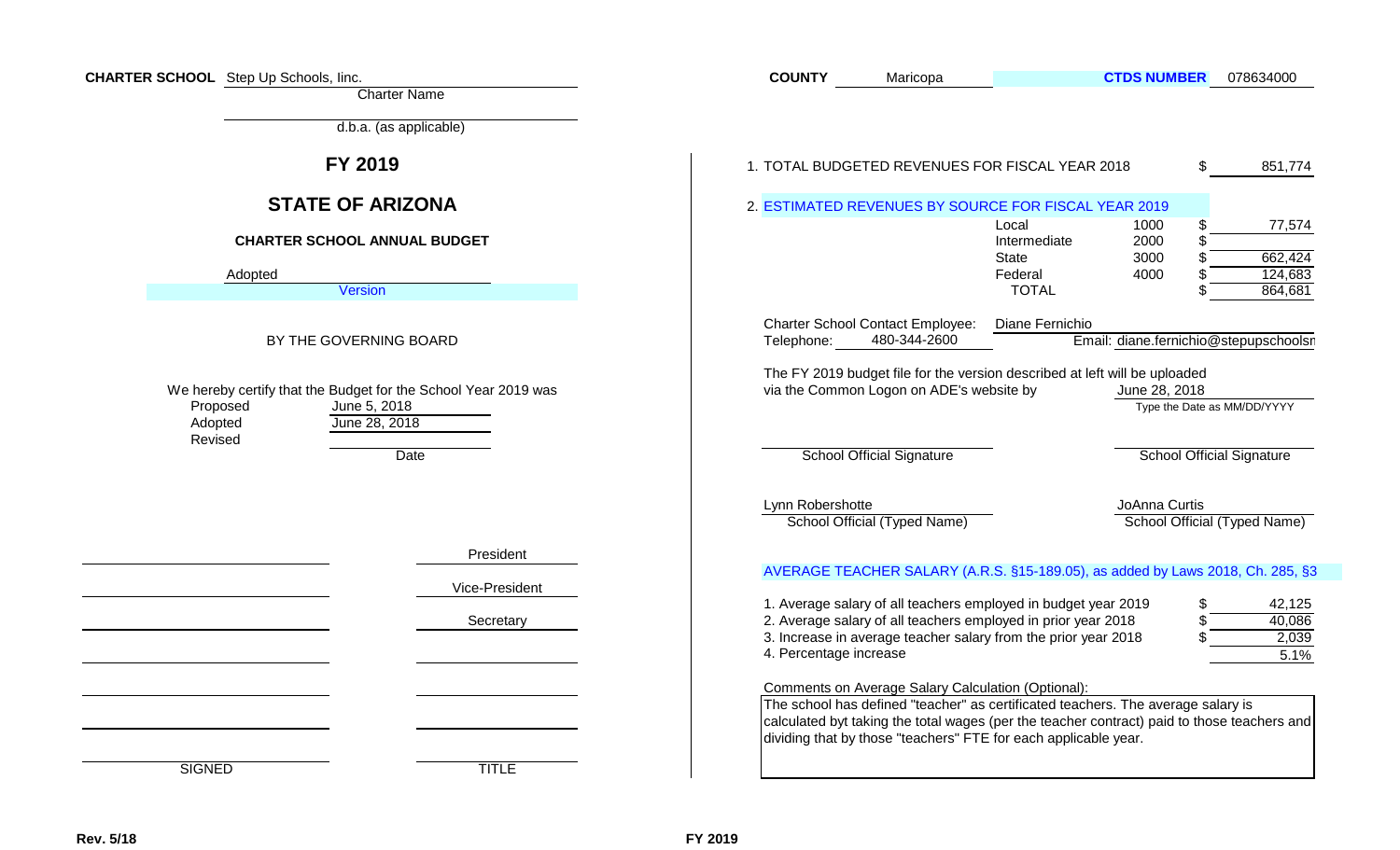| <b>CHARTER SCHOOL</b> Step Up Schools, linc. | <b>Charter Name</b>                                                                             | <b>COUNTY</b>          | Maricopa                                                                                                                                                                                                                                                                                                        |                                       | <b>CTDS NUMBER</b>                    | 078634000                        |
|----------------------------------------------|-------------------------------------------------------------------------------------------------|------------------------|-----------------------------------------------------------------------------------------------------------------------------------------------------------------------------------------------------------------------------------------------------------------------------------------------------------------|---------------------------------------|---------------------------------------|----------------------------------|
|                                              | d.b.a. (as applicable)                                                                          |                        |                                                                                                                                                                                                                                                                                                                 |                                       |                                       |                                  |
|                                              | FY 2019                                                                                         |                        | 1. TOTAL BUDGETED REVENUES FOR FISCAL YEAR 2018                                                                                                                                                                                                                                                                 |                                       |                                       | \$<br>851,774                    |
|                                              | <b>STATE OF ARIZONA</b>                                                                         |                        | 2. ESTIMATED REVENUES BY SOURCE FOR FISCAL YEAR 2019                                                                                                                                                                                                                                                            |                                       |                                       |                                  |
|                                              | <b>CHARTER SCHOOL ANNUAL BUDGET</b>                                                             |                        |                                                                                                                                                                                                                                                                                                                 | Local<br>Intermediate<br><b>State</b> | 1000<br>2000<br>3000                  | 77,574<br>662,424                |
| Adopted                                      |                                                                                                 |                        |                                                                                                                                                                                                                                                                                                                 | Federal                               | 4000                                  | 124,683                          |
|                                              | Version                                                                                         |                        |                                                                                                                                                                                                                                                                                                                 | <b>TOTAL</b>                          |                                       | 864,681                          |
|                                              | BY THE GOVERNING BOARD                                                                          | Telephone:             | <b>Charter School Contact Employee:</b><br>480-344-2600                                                                                                                                                                                                                                                         | Diane Fernichio                       | Email: diane.fernichio@stepupschoolsr |                                  |
| Proposed<br>Adopted                          | We hereby certify that the Budget for the School Year 2019 was<br>June 5, 2018<br>June 28, 2018 |                        | The FY 2019 budget file for the version described at left will be uploaded<br>via the Common Logon on ADE's website by                                                                                                                                                                                          |                                       | June 28, 2018                         | Type the Date as MM/DD/YYYY      |
| Revised                                      | Date                                                                                            |                        | <b>School Official Signature</b>                                                                                                                                                                                                                                                                                |                                       |                                       | <b>School Official Signature</b> |
|                                              |                                                                                                 | Lynn Robershotte       | School Official (Typed Name)                                                                                                                                                                                                                                                                                    |                                       | JoAnna Curtis                         | School Official (Typed Name)     |
|                                              | President<br>Vice-President                                                                     |                        | AVERAGE TEACHER SALARY (A.R.S. §15-189.05), as added by Laws 2018, Ch. 285, §3<br>1. Average salary of all teachers employed in budget year 2019                                                                                                                                                                |                                       |                                       | 42,125                           |
|                                              | Secretary                                                                                       | 4. Percentage increase | 2. Average salary of all teachers employed in prior year 2018<br>3. Increase in average teacher salary from the prior year 2018                                                                                                                                                                                 |                                       |                                       | 40,086<br>2,039<br>5.1%          |
|                                              |                                                                                                 |                        | <b>Comments on Average Salary Calculation (Optional):</b><br>The school has defined "teacher" as certificated teachers. The average salary is<br>calculated byt taking the total wages (per the teacher contract) paid to those teachers and<br>dividing that by those "teachers" FTE for each applicable year. |                                       |                                       |                                  |
| <b>SIGNED</b>                                | <b>TITLE</b>                                                                                    |                        |                                                                                                                                                                                                                                                                                                                 |                                       |                                       |                                  |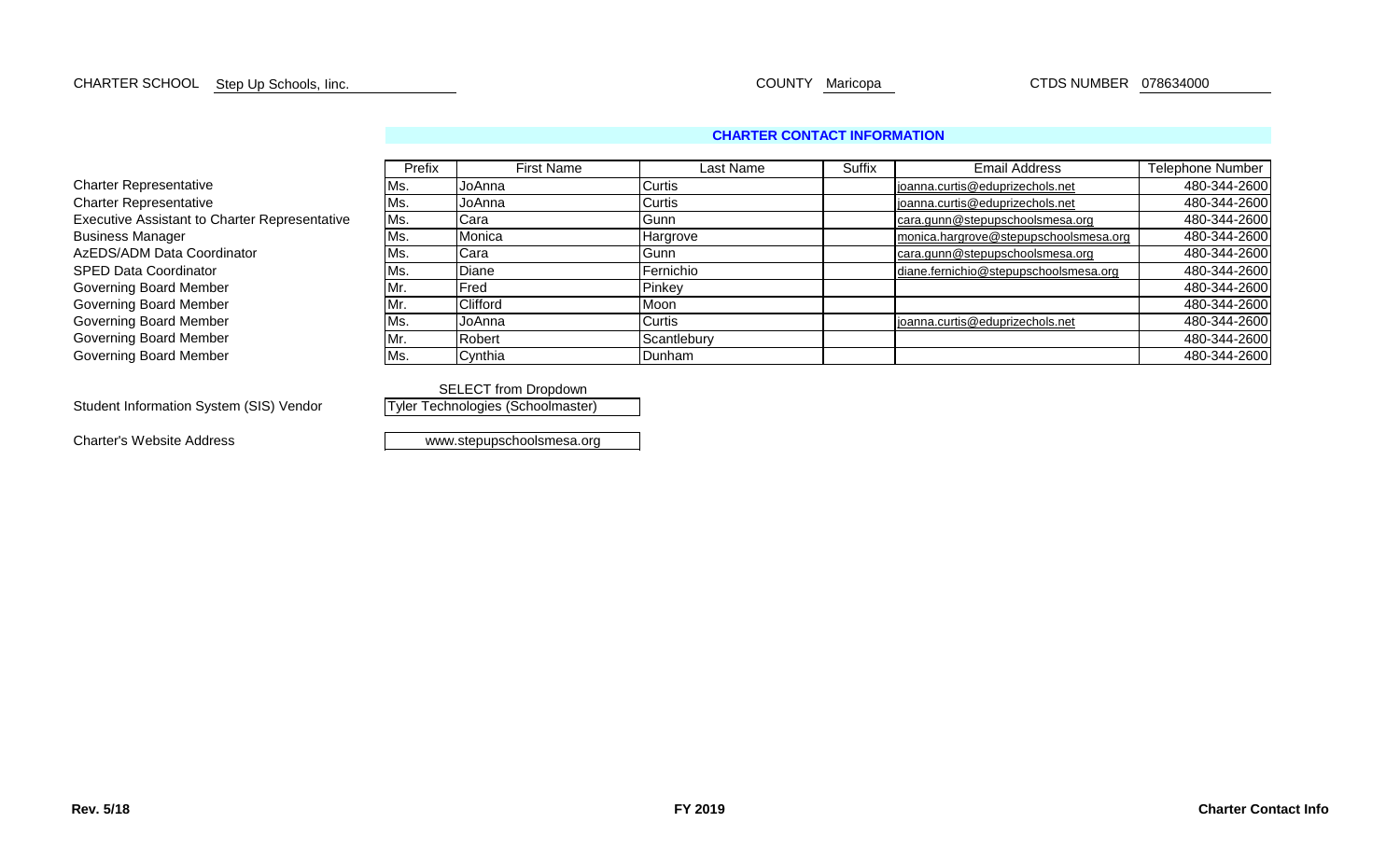# CHARTER SCHOOL COUNTY Maricopa CTDS NUMBER 078634000 Step Up Schools, Iinc.

#### **CHARTER CONTACT INFORMATION**

|                                                      | Prefix | <b>First Name</b> | Last Name   | Suffix | <b>Email Address</b>                  | <b>Telephone Number</b> |
|------------------------------------------------------|--------|-------------------|-------------|--------|---------------------------------------|-------------------------|
| <b>Charter Representative</b>                        | Ms.    | IJoAnna           | Curtis      |        | joanna.curtis@eduprizechols.net       | 480-344-2600            |
| <b>Charter Representative</b>                        | Ms.    | <b>JoAnna</b>     | Curtis      |        | joanna.curtis@eduprizechols.net       | 480-344-2600            |
| <b>Executive Assistant to Charter Representative</b> | Ms.    | <b>Cara</b>       | Gunn        |        | cara.gunn@stepupschoolsmesa.org       | 480-344-2600            |
| <b>Business Manager</b>                              | Ms.    | Monica            | Hargrove    |        | monica.hargrove@stepupschoolsmesa.org | 480-344-2600            |
| AzEDS/ADM Data Coordinator                           | Ms.    | Cara              | Gunn        |        | cara.gunn@stepupschoolsmesa.org       | 480-344-2600            |
| <b>SPED Data Coordinator</b>                         | Ms.    | <b>Diane</b>      | Fernichio   |        | diane.fernichio@stepupschoolsmesa.org | 480-344-2600            |
| Governing Board Member                               | Mr.    | Fred              | Pinkey      |        |                                       | 480-344-2600            |
| Governing Board Member                               | Mr.    | Clifford          | Moon        |        |                                       | 480-344-2600            |
| Governing Board Member                               | Ms.    | <b>JoAnna</b>     | Curtis      |        | joanna.curtis@eduprizechols.net       | 480-344-2600            |
| Governing Board Member                               | Mr.    | Robert            | Scantlebury |        |                                       | 480-344-2600            |
| Governing Board Member                               | Ms.    | Cynthia           | Dunham      |        |                                       | 480-344-2600            |

SELECT from Dropdown Tyler Technologies (Schoolmaster)

Student Information System (SIS) Vendor

Charter's Website Address

www.stepupschoolsmesa.org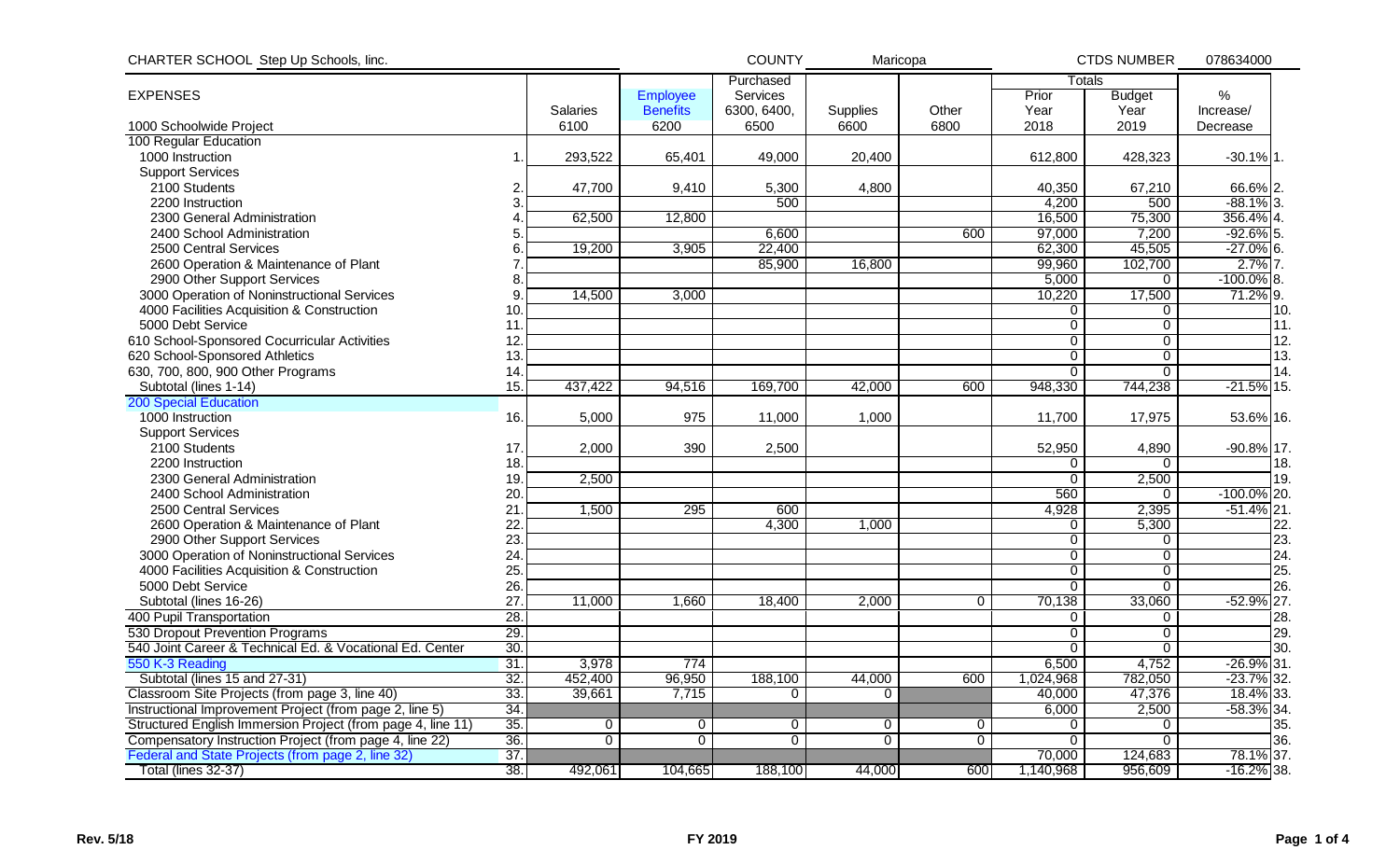| Purchased<br>Totals<br>%<br><b>EXPENSES</b><br>Services<br>Prior<br><b>Employee</b><br><b>Budget</b><br><b>Benefits</b><br>6300, 6400,<br>Other<br>Year<br>Year<br>Salaries<br><b>Supplies</b><br>Increase/<br>6100<br>6200<br>6500<br>6600<br>6800<br>2018<br>2019<br>1000 Schoolwide Project<br>Decrease<br>100 Regular Education<br>1000 Instruction<br>49,000<br>612,800<br>$-30.1\%$ 1.<br>293,522<br>65,401<br>20,400<br>428,323<br><b>Support Services</b><br>67,210<br>2100 Students<br>47,700<br>9,410<br>5,300<br>4,800<br>40,350<br>66.6% 2.<br>2<br>4,200<br>500<br>$-88.1\%$ 3.<br>2200 Instruction<br>3<br>500<br>16,500<br>75,300<br>356.4% 4.<br>2300 General Administration<br>62,500<br>12,800<br>97,000<br>6,600<br>600<br>7,200<br>$-92.6\%$ 5.<br>2400 School Administration<br>5<br>22,400<br>$-27.0\%$ 6.<br>62,300<br>45,505<br>2500 Central Services<br>19,200<br>3,905<br>$2.7%$ 7<br>2600 Operation & Maintenance of Plant<br>85,900<br>16,800<br>99,960<br>102,700<br>2900 Other Support Services<br>5,000<br>$-100.0\%$ 8.<br>8<br>$\mathbf{0}$<br>10,220<br>71.2% 9.<br>17,500<br>3000 Operation of Noninstructional Services<br>14,500<br>3,000<br>9<br>4000 Facilities Acquisition & Construction<br>10.<br>0<br>0<br>10.<br>$\overline{0}$<br>11.<br>5000 Debt Service<br>$\mathbf 0$<br>11<br>12.<br>610 School-Sponsored Cocurricular Activities<br>12<br>$\mathbf 0$<br>$\mathbf 0$<br>13.<br>13<br>$\overline{0}$<br>$\overline{0}$<br>620 School-Sponsored Athletics<br>630, 700, 800, 900 Other Programs<br>$\Omega$<br>$\mathbf{0}$<br>14.<br>14<br>15.<br>$-21.5%$ 15.<br>Subtotal (lines 1-14)<br>437,422<br>94,516<br>169,700<br>42,000<br>600<br>948,330<br>744,238<br><b>200 Special Education</b><br>1000 Instruction<br>16.<br>5,000<br>975<br>11,000<br>1,000<br>11,700<br>17,975<br>53.6% 16.<br><b>Support Services</b><br>$-90.8\%$ 17.<br>2100 Students<br>2,000<br>390<br>2,500<br>52,950<br>17<br>4,890<br>2200 Instruction<br>18.<br>0<br>18.<br>0<br>2,500<br>2300 General Administration<br>19.<br>2,500<br>$\Omega$<br>19.<br>560<br>2400 School Administration<br>20<br>$-100.0\%$ 20.<br>$\mathbf{0}$<br>2500 Central Services<br>21<br>295<br>4,928<br>2,395<br>1,500<br>600<br>$-51.4\%$ 21.<br>22<br>2600 Operation & Maintenance of Plant<br>4,300<br>22.<br>1,000<br>5,300<br>0<br>23.<br>23<br>2900 Other Support Services<br>$\overline{0}$<br>0<br>3000 Operation of Noninstructional Services<br>24<br>24.<br>$\mathbf 0$<br>$\overline{0}$<br>25.<br>4000 Facilities Acquisition & Construction<br>25<br>$\overline{0}$<br>$\mathbf 0$<br>26.<br>5000 Debt Service<br>26.<br>$\mathbf 0$<br>$\mathbf 0$<br>27<br>$-52.9\%$ 27.<br>33,060<br>Subtotal (lines 16-26)<br>11,000<br>1,660<br>18,400<br>2,000<br>70,138<br>0<br>28.<br>400 Pupil Transportation<br>28.<br>0<br>0<br>530 Dropout Prevention Programs<br>29.<br>$\overline{0}$<br>29.<br>$\Omega$<br>540 Joint Career & Technical Ed. & Vocational Ed. Center<br>30.<br>$\Omega$<br>0<br>30.<br>550 K-3 Reading<br>31<br>$-26.9\%$ 31.<br>3,978<br>774<br>6,500<br>4,752<br>Subtotal (lines 15 and 27-31)<br>32.<br>452,400<br>96,950<br>188,100<br>44,000<br>600<br>1,024,968<br>782,050<br>$-23.7\%$ 32.<br>33.<br>39,661<br>18.4% 33.<br>7,715<br>40,000<br>47,376<br>Classroom Site Projects (from page 3, line 40)<br>$\Omega$<br>$\Omega$<br>34.<br>2,500<br>$-58.3\%$ 34.<br>Instructional Improvement Project (from page 2, line 5)<br>6,000<br>35.<br>Structured English Immersion Project (from page 4, line 11)<br>35.<br>$\Omega$<br>$\Omega$<br>$\mathbf 0$<br>$\mathbf{0}$<br>0<br>0<br>$\Omega$<br>36.<br>36.<br>Compensatory Instruction Project (from page 4, line 22)<br>$\overline{0}$<br>$\overline{0}$<br>$\overline{0}$<br>$\Omega$<br>$\Omega$<br>0<br>$\Omega$<br>37.<br>Federal and State Projects (from page 2, line 32)<br>78.1% 37.<br>70,000<br>124,683<br>38.<br>Total (lines 32-37)<br>492,061<br>104,665<br>188,100<br>44,000<br>600<br>1,140,968<br>956,609<br>$-16.2\%$ 38. | CHARTER SCHOOL Step Up Schools, linc. |  | <b>COUNTY</b> | Maricopa |  | <b>CTDS NUMBER</b> |  |  |
|----------------------------------------------------------------------------------------------------------------------------------------------------------------------------------------------------------------------------------------------------------------------------------------------------------------------------------------------------------------------------------------------------------------------------------------------------------------------------------------------------------------------------------------------------------------------------------------------------------------------------------------------------------------------------------------------------------------------------------------------------------------------------------------------------------------------------------------------------------------------------------------------------------------------------------------------------------------------------------------------------------------------------------------------------------------------------------------------------------------------------------------------------------------------------------------------------------------------------------------------------------------------------------------------------------------------------------------------------------------------------------------------------------------------------------------------------------------------------------------------------------------------------------------------------------------------------------------------------------------------------------------------------------------------------------------------------------------------------------------------------------------------------------------------------------------------------------------------------------------------------------------------------------------------------------------------------------------------------------------------------------------------------------------------------------------------------------------------------------------------------------------------------------------------------------------------------------------------------------------------------------------------------------------------------------------------------------------------------------------------------------------------------------------------------------------------------------------------------------------------------------------------------------------------------------------------------------------------------------------------------------------------------------------------------------------------------------------------------------------------------------------------------------------------------------------------------------------------------------------------------------------------------------------------------------------------------------------------------------------------------------------------------------------------------------------------------------------------------------------------------------------------------------------------------------------------------------------------------------------------------------------------------------------------------------------------------------------------------------------------------------------------------------------------------------------------------------------------------------------------------------------------------------------------------------------------------------------------------------------------------------------------------------------------------------------------------------------------------------------------------------------------------------------------------------------------------------------------------------------------------------------------------------------------------------------------------------------------------------------------------------------------------------------------|---------------------------------------|--|---------------|----------|--|--------------------|--|--|
|                                                                                                                                                                                                                                                                                                                                                                                                                                                                                                                                                                                                                                                                                                                                                                                                                                                                                                                                                                                                                                                                                                                                                                                                                                                                                                                                                                                                                                                                                                                                                                                                                                                                                                                                                                                                                                                                                                                                                                                                                                                                                                                                                                                                                                                                                                                                                                                                                                                                                                                                                                                                                                                                                                                                                                                                                                                                                                                                                                                                                                                                                                                                                                                                                                                                                                                                                                                                                                                                                                                                                                                                                                                                                                                                                                                                                                                                                                                                                                                                                                              |                                       |  |               |          |  |                    |  |  |
|                                                                                                                                                                                                                                                                                                                                                                                                                                                                                                                                                                                                                                                                                                                                                                                                                                                                                                                                                                                                                                                                                                                                                                                                                                                                                                                                                                                                                                                                                                                                                                                                                                                                                                                                                                                                                                                                                                                                                                                                                                                                                                                                                                                                                                                                                                                                                                                                                                                                                                                                                                                                                                                                                                                                                                                                                                                                                                                                                                                                                                                                                                                                                                                                                                                                                                                                                                                                                                                                                                                                                                                                                                                                                                                                                                                                                                                                                                                                                                                                                                              |                                       |  |               |          |  |                    |  |  |
|                                                                                                                                                                                                                                                                                                                                                                                                                                                                                                                                                                                                                                                                                                                                                                                                                                                                                                                                                                                                                                                                                                                                                                                                                                                                                                                                                                                                                                                                                                                                                                                                                                                                                                                                                                                                                                                                                                                                                                                                                                                                                                                                                                                                                                                                                                                                                                                                                                                                                                                                                                                                                                                                                                                                                                                                                                                                                                                                                                                                                                                                                                                                                                                                                                                                                                                                                                                                                                                                                                                                                                                                                                                                                                                                                                                                                                                                                                                                                                                                                                              |                                       |  |               |          |  |                    |  |  |
|                                                                                                                                                                                                                                                                                                                                                                                                                                                                                                                                                                                                                                                                                                                                                                                                                                                                                                                                                                                                                                                                                                                                                                                                                                                                                                                                                                                                                                                                                                                                                                                                                                                                                                                                                                                                                                                                                                                                                                                                                                                                                                                                                                                                                                                                                                                                                                                                                                                                                                                                                                                                                                                                                                                                                                                                                                                                                                                                                                                                                                                                                                                                                                                                                                                                                                                                                                                                                                                                                                                                                                                                                                                                                                                                                                                                                                                                                                                                                                                                                                              |                                       |  |               |          |  |                    |  |  |
|                                                                                                                                                                                                                                                                                                                                                                                                                                                                                                                                                                                                                                                                                                                                                                                                                                                                                                                                                                                                                                                                                                                                                                                                                                                                                                                                                                                                                                                                                                                                                                                                                                                                                                                                                                                                                                                                                                                                                                                                                                                                                                                                                                                                                                                                                                                                                                                                                                                                                                                                                                                                                                                                                                                                                                                                                                                                                                                                                                                                                                                                                                                                                                                                                                                                                                                                                                                                                                                                                                                                                                                                                                                                                                                                                                                                                                                                                                                                                                                                                                              |                                       |  |               |          |  |                    |  |  |
|                                                                                                                                                                                                                                                                                                                                                                                                                                                                                                                                                                                                                                                                                                                                                                                                                                                                                                                                                                                                                                                                                                                                                                                                                                                                                                                                                                                                                                                                                                                                                                                                                                                                                                                                                                                                                                                                                                                                                                                                                                                                                                                                                                                                                                                                                                                                                                                                                                                                                                                                                                                                                                                                                                                                                                                                                                                                                                                                                                                                                                                                                                                                                                                                                                                                                                                                                                                                                                                                                                                                                                                                                                                                                                                                                                                                                                                                                                                                                                                                                                              |                                       |  |               |          |  |                    |  |  |
|                                                                                                                                                                                                                                                                                                                                                                                                                                                                                                                                                                                                                                                                                                                                                                                                                                                                                                                                                                                                                                                                                                                                                                                                                                                                                                                                                                                                                                                                                                                                                                                                                                                                                                                                                                                                                                                                                                                                                                                                                                                                                                                                                                                                                                                                                                                                                                                                                                                                                                                                                                                                                                                                                                                                                                                                                                                                                                                                                                                                                                                                                                                                                                                                                                                                                                                                                                                                                                                                                                                                                                                                                                                                                                                                                                                                                                                                                                                                                                                                                                              |                                       |  |               |          |  |                    |  |  |
|                                                                                                                                                                                                                                                                                                                                                                                                                                                                                                                                                                                                                                                                                                                                                                                                                                                                                                                                                                                                                                                                                                                                                                                                                                                                                                                                                                                                                                                                                                                                                                                                                                                                                                                                                                                                                                                                                                                                                                                                                                                                                                                                                                                                                                                                                                                                                                                                                                                                                                                                                                                                                                                                                                                                                                                                                                                                                                                                                                                                                                                                                                                                                                                                                                                                                                                                                                                                                                                                                                                                                                                                                                                                                                                                                                                                                                                                                                                                                                                                                                              |                                       |  |               |          |  |                    |  |  |
|                                                                                                                                                                                                                                                                                                                                                                                                                                                                                                                                                                                                                                                                                                                                                                                                                                                                                                                                                                                                                                                                                                                                                                                                                                                                                                                                                                                                                                                                                                                                                                                                                                                                                                                                                                                                                                                                                                                                                                                                                                                                                                                                                                                                                                                                                                                                                                                                                                                                                                                                                                                                                                                                                                                                                                                                                                                                                                                                                                                                                                                                                                                                                                                                                                                                                                                                                                                                                                                                                                                                                                                                                                                                                                                                                                                                                                                                                                                                                                                                                                              |                                       |  |               |          |  |                    |  |  |
|                                                                                                                                                                                                                                                                                                                                                                                                                                                                                                                                                                                                                                                                                                                                                                                                                                                                                                                                                                                                                                                                                                                                                                                                                                                                                                                                                                                                                                                                                                                                                                                                                                                                                                                                                                                                                                                                                                                                                                                                                                                                                                                                                                                                                                                                                                                                                                                                                                                                                                                                                                                                                                                                                                                                                                                                                                                                                                                                                                                                                                                                                                                                                                                                                                                                                                                                                                                                                                                                                                                                                                                                                                                                                                                                                                                                                                                                                                                                                                                                                                              |                                       |  |               |          |  |                    |  |  |
|                                                                                                                                                                                                                                                                                                                                                                                                                                                                                                                                                                                                                                                                                                                                                                                                                                                                                                                                                                                                                                                                                                                                                                                                                                                                                                                                                                                                                                                                                                                                                                                                                                                                                                                                                                                                                                                                                                                                                                                                                                                                                                                                                                                                                                                                                                                                                                                                                                                                                                                                                                                                                                                                                                                                                                                                                                                                                                                                                                                                                                                                                                                                                                                                                                                                                                                                                                                                                                                                                                                                                                                                                                                                                                                                                                                                                                                                                                                                                                                                                                              |                                       |  |               |          |  |                    |  |  |
|                                                                                                                                                                                                                                                                                                                                                                                                                                                                                                                                                                                                                                                                                                                                                                                                                                                                                                                                                                                                                                                                                                                                                                                                                                                                                                                                                                                                                                                                                                                                                                                                                                                                                                                                                                                                                                                                                                                                                                                                                                                                                                                                                                                                                                                                                                                                                                                                                                                                                                                                                                                                                                                                                                                                                                                                                                                                                                                                                                                                                                                                                                                                                                                                                                                                                                                                                                                                                                                                                                                                                                                                                                                                                                                                                                                                                                                                                                                                                                                                                                              |                                       |  |               |          |  |                    |  |  |
|                                                                                                                                                                                                                                                                                                                                                                                                                                                                                                                                                                                                                                                                                                                                                                                                                                                                                                                                                                                                                                                                                                                                                                                                                                                                                                                                                                                                                                                                                                                                                                                                                                                                                                                                                                                                                                                                                                                                                                                                                                                                                                                                                                                                                                                                                                                                                                                                                                                                                                                                                                                                                                                                                                                                                                                                                                                                                                                                                                                                                                                                                                                                                                                                                                                                                                                                                                                                                                                                                                                                                                                                                                                                                                                                                                                                                                                                                                                                                                                                                                              |                                       |  |               |          |  |                    |  |  |
|                                                                                                                                                                                                                                                                                                                                                                                                                                                                                                                                                                                                                                                                                                                                                                                                                                                                                                                                                                                                                                                                                                                                                                                                                                                                                                                                                                                                                                                                                                                                                                                                                                                                                                                                                                                                                                                                                                                                                                                                                                                                                                                                                                                                                                                                                                                                                                                                                                                                                                                                                                                                                                                                                                                                                                                                                                                                                                                                                                                                                                                                                                                                                                                                                                                                                                                                                                                                                                                                                                                                                                                                                                                                                                                                                                                                                                                                                                                                                                                                                                              |                                       |  |               |          |  |                    |  |  |
|                                                                                                                                                                                                                                                                                                                                                                                                                                                                                                                                                                                                                                                                                                                                                                                                                                                                                                                                                                                                                                                                                                                                                                                                                                                                                                                                                                                                                                                                                                                                                                                                                                                                                                                                                                                                                                                                                                                                                                                                                                                                                                                                                                                                                                                                                                                                                                                                                                                                                                                                                                                                                                                                                                                                                                                                                                                                                                                                                                                                                                                                                                                                                                                                                                                                                                                                                                                                                                                                                                                                                                                                                                                                                                                                                                                                                                                                                                                                                                                                                                              |                                       |  |               |          |  |                    |  |  |
|                                                                                                                                                                                                                                                                                                                                                                                                                                                                                                                                                                                                                                                                                                                                                                                                                                                                                                                                                                                                                                                                                                                                                                                                                                                                                                                                                                                                                                                                                                                                                                                                                                                                                                                                                                                                                                                                                                                                                                                                                                                                                                                                                                                                                                                                                                                                                                                                                                                                                                                                                                                                                                                                                                                                                                                                                                                                                                                                                                                                                                                                                                                                                                                                                                                                                                                                                                                                                                                                                                                                                                                                                                                                                                                                                                                                                                                                                                                                                                                                                                              |                                       |  |               |          |  |                    |  |  |
|                                                                                                                                                                                                                                                                                                                                                                                                                                                                                                                                                                                                                                                                                                                                                                                                                                                                                                                                                                                                                                                                                                                                                                                                                                                                                                                                                                                                                                                                                                                                                                                                                                                                                                                                                                                                                                                                                                                                                                                                                                                                                                                                                                                                                                                                                                                                                                                                                                                                                                                                                                                                                                                                                                                                                                                                                                                                                                                                                                                                                                                                                                                                                                                                                                                                                                                                                                                                                                                                                                                                                                                                                                                                                                                                                                                                                                                                                                                                                                                                                                              |                                       |  |               |          |  |                    |  |  |
|                                                                                                                                                                                                                                                                                                                                                                                                                                                                                                                                                                                                                                                                                                                                                                                                                                                                                                                                                                                                                                                                                                                                                                                                                                                                                                                                                                                                                                                                                                                                                                                                                                                                                                                                                                                                                                                                                                                                                                                                                                                                                                                                                                                                                                                                                                                                                                                                                                                                                                                                                                                                                                                                                                                                                                                                                                                                                                                                                                                                                                                                                                                                                                                                                                                                                                                                                                                                                                                                                                                                                                                                                                                                                                                                                                                                                                                                                                                                                                                                                                              |                                       |  |               |          |  |                    |  |  |
|                                                                                                                                                                                                                                                                                                                                                                                                                                                                                                                                                                                                                                                                                                                                                                                                                                                                                                                                                                                                                                                                                                                                                                                                                                                                                                                                                                                                                                                                                                                                                                                                                                                                                                                                                                                                                                                                                                                                                                                                                                                                                                                                                                                                                                                                                                                                                                                                                                                                                                                                                                                                                                                                                                                                                                                                                                                                                                                                                                                                                                                                                                                                                                                                                                                                                                                                                                                                                                                                                                                                                                                                                                                                                                                                                                                                                                                                                                                                                                                                                                              |                                       |  |               |          |  |                    |  |  |
|                                                                                                                                                                                                                                                                                                                                                                                                                                                                                                                                                                                                                                                                                                                                                                                                                                                                                                                                                                                                                                                                                                                                                                                                                                                                                                                                                                                                                                                                                                                                                                                                                                                                                                                                                                                                                                                                                                                                                                                                                                                                                                                                                                                                                                                                                                                                                                                                                                                                                                                                                                                                                                                                                                                                                                                                                                                                                                                                                                                                                                                                                                                                                                                                                                                                                                                                                                                                                                                                                                                                                                                                                                                                                                                                                                                                                                                                                                                                                                                                                                              |                                       |  |               |          |  |                    |  |  |
|                                                                                                                                                                                                                                                                                                                                                                                                                                                                                                                                                                                                                                                                                                                                                                                                                                                                                                                                                                                                                                                                                                                                                                                                                                                                                                                                                                                                                                                                                                                                                                                                                                                                                                                                                                                                                                                                                                                                                                                                                                                                                                                                                                                                                                                                                                                                                                                                                                                                                                                                                                                                                                                                                                                                                                                                                                                                                                                                                                                                                                                                                                                                                                                                                                                                                                                                                                                                                                                                                                                                                                                                                                                                                                                                                                                                                                                                                                                                                                                                                                              |                                       |  |               |          |  |                    |  |  |
|                                                                                                                                                                                                                                                                                                                                                                                                                                                                                                                                                                                                                                                                                                                                                                                                                                                                                                                                                                                                                                                                                                                                                                                                                                                                                                                                                                                                                                                                                                                                                                                                                                                                                                                                                                                                                                                                                                                                                                                                                                                                                                                                                                                                                                                                                                                                                                                                                                                                                                                                                                                                                                                                                                                                                                                                                                                                                                                                                                                                                                                                                                                                                                                                                                                                                                                                                                                                                                                                                                                                                                                                                                                                                                                                                                                                                                                                                                                                                                                                                                              |                                       |  |               |          |  |                    |  |  |
|                                                                                                                                                                                                                                                                                                                                                                                                                                                                                                                                                                                                                                                                                                                                                                                                                                                                                                                                                                                                                                                                                                                                                                                                                                                                                                                                                                                                                                                                                                                                                                                                                                                                                                                                                                                                                                                                                                                                                                                                                                                                                                                                                                                                                                                                                                                                                                                                                                                                                                                                                                                                                                                                                                                                                                                                                                                                                                                                                                                                                                                                                                                                                                                                                                                                                                                                                                                                                                                                                                                                                                                                                                                                                                                                                                                                                                                                                                                                                                                                                                              |                                       |  |               |          |  |                    |  |  |
|                                                                                                                                                                                                                                                                                                                                                                                                                                                                                                                                                                                                                                                                                                                                                                                                                                                                                                                                                                                                                                                                                                                                                                                                                                                                                                                                                                                                                                                                                                                                                                                                                                                                                                                                                                                                                                                                                                                                                                                                                                                                                                                                                                                                                                                                                                                                                                                                                                                                                                                                                                                                                                                                                                                                                                                                                                                                                                                                                                                                                                                                                                                                                                                                                                                                                                                                                                                                                                                                                                                                                                                                                                                                                                                                                                                                                                                                                                                                                                                                                                              |                                       |  |               |          |  |                    |  |  |
|                                                                                                                                                                                                                                                                                                                                                                                                                                                                                                                                                                                                                                                                                                                                                                                                                                                                                                                                                                                                                                                                                                                                                                                                                                                                                                                                                                                                                                                                                                                                                                                                                                                                                                                                                                                                                                                                                                                                                                                                                                                                                                                                                                                                                                                                                                                                                                                                                                                                                                                                                                                                                                                                                                                                                                                                                                                                                                                                                                                                                                                                                                                                                                                                                                                                                                                                                                                                                                                                                                                                                                                                                                                                                                                                                                                                                                                                                                                                                                                                                                              |                                       |  |               |          |  |                    |  |  |
|                                                                                                                                                                                                                                                                                                                                                                                                                                                                                                                                                                                                                                                                                                                                                                                                                                                                                                                                                                                                                                                                                                                                                                                                                                                                                                                                                                                                                                                                                                                                                                                                                                                                                                                                                                                                                                                                                                                                                                                                                                                                                                                                                                                                                                                                                                                                                                                                                                                                                                                                                                                                                                                                                                                                                                                                                                                                                                                                                                                                                                                                                                                                                                                                                                                                                                                                                                                                                                                                                                                                                                                                                                                                                                                                                                                                                                                                                                                                                                                                                                              |                                       |  |               |          |  |                    |  |  |
|                                                                                                                                                                                                                                                                                                                                                                                                                                                                                                                                                                                                                                                                                                                                                                                                                                                                                                                                                                                                                                                                                                                                                                                                                                                                                                                                                                                                                                                                                                                                                                                                                                                                                                                                                                                                                                                                                                                                                                                                                                                                                                                                                                                                                                                                                                                                                                                                                                                                                                                                                                                                                                                                                                                                                                                                                                                                                                                                                                                                                                                                                                                                                                                                                                                                                                                                                                                                                                                                                                                                                                                                                                                                                                                                                                                                                                                                                                                                                                                                                                              |                                       |  |               |          |  |                    |  |  |
|                                                                                                                                                                                                                                                                                                                                                                                                                                                                                                                                                                                                                                                                                                                                                                                                                                                                                                                                                                                                                                                                                                                                                                                                                                                                                                                                                                                                                                                                                                                                                                                                                                                                                                                                                                                                                                                                                                                                                                                                                                                                                                                                                                                                                                                                                                                                                                                                                                                                                                                                                                                                                                                                                                                                                                                                                                                                                                                                                                                                                                                                                                                                                                                                                                                                                                                                                                                                                                                                                                                                                                                                                                                                                                                                                                                                                                                                                                                                                                                                                                              |                                       |  |               |          |  |                    |  |  |
|                                                                                                                                                                                                                                                                                                                                                                                                                                                                                                                                                                                                                                                                                                                                                                                                                                                                                                                                                                                                                                                                                                                                                                                                                                                                                                                                                                                                                                                                                                                                                                                                                                                                                                                                                                                                                                                                                                                                                                                                                                                                                                                                                                                                                                                                                                                                                                                                                                                                                                                                                                                                                                                                                                                                                                                                                                                                                                                                                                                                                                                                                                                                                                                                                                                                                                                                                                                                                                                                                                                                                                                                                                                                                                                                                                                                                                                                                                                                                                                                                                              |                                       |  |               |          |  |                    |  |  |
|                                                                                                                                                                                                                                                                                                                                                                                                                                                                                                                                                                                                                                                                                                                                                                                                                                                                                                                                                                                                                                                                                                                                                                                                                                                                                                                                                                                                                                                                                                                                                                                                                                                                                                                                                                                                                                                                                                                                                                                                                                                                                                                                                                                                                                                                                                                                                                                                                                                                                                                                                                                                                                                                                                                                                                                                                                                                                                                                                                                                                                                                                                                                                                                                                                                                                                                                                                                                                                                                                                                                                                                                                                                                                                                                                                                                                                                                                                                                                                                                                                              |                                       |  |               |          |  |                    |  |  |
|                                                                                                                                                                                                                                                                                                                                                                                                                                                                                                                                                                                                                                                                                                                                                                                                                                                                                                                                                                                                                                                                                                                                                                                                                                                                                                                                                                                                                                                                                                                                                                                                                                                                                                                                                                                                                                                                                                                                                                                                                                                                                                                                                                                                                                                                                                                                                                                                                                                                                                                                                                                                                                                                                                                                                                                                                                                                                                                                                                                                                                                                                                                                                                                                                                                                                                                                                                                                                                                                                                                                                                                                                                                                                                                                                                                                                                                                                                                                                                                                                                              |                                       |  |               |          |  |                    |  |  |
|                                                                                                                                                                                                                                                                                                                                                                                                                                                                                                                                                                                                                                                                                                                                                                                                                                                                                                                                                                                                                                                                                                                                                                                                                                                                                                                                                                                                                                                                                                                                                                                                                                                                                                                                                                                                                                                                                                                                                                                                                                                                                                                                                                                                                                                                                                                                                                                                                                                                                                                                                                                                                                                                                                                                                                                                                                                                                                                                                                                                                                                                                                                                                                                                                                                                                                                                                                                                                                                                                                                                                                                                                                                                                                                                                                                                                                                                                                                                                                                                                                              |                                       |  |               |          |  |                    |  |  |
|                                                                                                                                                                                                                                                                                                                                                                                                                                                                                                                                                                                                                                                                                                                                                                                                                                                                                                                                                                                                                                                                                                                                                                                                                                                                                                                                                                                                                                                                                                                                                                                                                                                                                                                                                                                                                                                                                                                                                                                                                                                                                                                                                                                                                                                                                                                                                                                                                                                                                                                                                                                                                                                                                                                                                                                                                                                                                                                                                                                                                                                                                                                                                                                                                                                                                                                                                                                                                                                                                                                                                                                                                                                                                                                                                                                                                                                                                                                                                                                                                                              |                                       |  |               |          |  |                    |  |  |
|                                                                                                                                                                                                                                                                                                                                                                                                                                                                                                                                                                                                                                                                                                                                                                                                                                                                                                                                                                                                                                                                                                                                                                                                                                                                                                                                                                                                                                                                                                                                                                                                                                                                                                                                                                                                                                                                                                                                                                                                                                                                                                                                                                                                                                                                                                                                                                                                                                                                                                                                                                                                                                                                                                                                                                                                                                                                                                                                                                                                                                                                                                                                                                                                                                                                                                                                                                                                                                                                                                                                                                                                                                                                                                                                                                                                                                                                                                                                                                                                                                              |                                       |  |               |          |  |                    |  |  |
|                                                                                                                                                                                                                                                                                                                                                                                                                                                                                                                                                                                                                                                                                                                                                                                                                                                                                                                                                                                                                                                                                                                                                                                                                                                                                                                                                                                                                                                                                                                                                                                                                                                                                                                                                                                                                                                                                                                                                                                                                                                                                                                                                                                                                                                                                                                                                                                                                                                                                                                                                                                                                                                                                                                                                                                                                                                                                                                                                                                                                                                                                                                                                                                                                                                                                                                                                                                                                                                                                                                                                                                                                                                                                                                                                                                                                                                                                                                                                                                                                                              |                                       |  |               |          |  |                    |  |  |
|                                                                                                                                                                                                                                                                                                                                                                                                                                                                                                                                                                                                                                                                                                                                                                                                                                                                                                                                                                                                                                                                                                                                                                                                                                                                                                                                                                                                                                                                                                                                                                                                                                                                                                                                                                                                                                                                                                                                                                                                                                                                                                                                                                                                                                                                                                                                                                                                                                                                                                                                                                                                                                                                                                                                                                                                                                                                                                                                                                                                                                                                                                                                                                                                                                                                                                                                                                                                                                                                                                                                                                                                                                                                                                                                                                                                                                                                                                                                                                                                                                              |                                       |  |               |          |  |                    |  |  |
|                                                                                                                                                                                                                                                                                                                                                                                                                                                                                                                                                                                                                                                                                                                                                                                                                                                                                                                                                                                                                                                                                                                                                                                                                                                                                                                                                                                                                                                                                                                                                                                                                                                                                                                                                                                                                                                                                                                                                                                                                                                                                                                                                                                                                                                                                                                                                                                                                                                                                                                                                                                                                                                                                                                                                                                                                                                                                                                                                                                                                                                                                                                                                                                                                                                                                                                                                                                                                                                                                                                                                                                                                                                                                                                                                                                                                                                                                                                                                                                                                                              |                                       |  |               |          |  |                    |  |  |
|                                                                                                                                                                                                                                                                                                                                                                                                                                                                                                                                                                                                                                                                                                                                                                                                                                                                                                                                                                                                                                                                                                                                                                                                                                                                                                                                                                                                                                                                                                                                                                                                                                                                                                                                                                                                                                                                                                                                                                                                                                                                                                                                                                                                                                                                                                                                                                                                                                                                                                                                                                                                                                                                                                                                                                                                                                                                                                                                                                                                                                                                                                                                                                                                                                                                                                                                                                                                                                                                                                                                                                                                                                                                                                                                                                                                                                                                                                                                                                                                                                              |                                       |  |               |          |  |                    |  |  |
|                                                                                                                                                                                                                                                                                                                                                                                                                                                                                                                                                                                                                                                                                                                                                                                                                                                                                                                                                                                                                                                                                                                                                                                                                                                                                                                                                                                                                                                                                                                                                                                                                                                                                                                                                                                                                                                                                                                                                                                                                                                                                                                                                                                                                                                                                                                                                                                                                                                                                                                                                                                                                                                                                                                                                                                                                                                                                                                                                                                                                                                                                                                                                                                                                                                                                                                                                                                                                                                                                                                                                                                                                                                                                                                                                                                                                                                                                                                                                                                                                                              |                                       |  |               |          |  |                    |  |  |
|                                                                                                                                                                                                                                                                                                                                                                                                                                                                                                                                                                                                                                                                                                                                                                                                                                                                                                                                                                                                                                                                                                                                                                                                                                                                                                                                                                                                                                                                                                                                                                                                                                                                                                                                                                                                                                                                                                                                                                                                                                                                                                                                                                                                                                                                                                                                                                                                                                                                                                                                                                                                                                                                                                                                                                                                                                                                                                                                                                                                                                                                                                                                                                                                                                                                                                                                                                                                                                                                                                                                                                                                                                                                                                                                                                                                                                                                                                                                                                                                                                              |                                       |  |               |          |  |                    |  |  |
|                                                                                                                                                                                                                                                                                                                                                                                                                                                                                                                                                                                                                                                                                                                                                                                                                                                                                                                                                                                                                                                                                                                                                                                                                                                                                                                                                                                                                                                                                                                                                                                                                                                                                                                                                                                                                                                                                                                                                                                                                                                                                                                                                                                                                                                                                                                                                                                                                                                                                                                                                                                                                                                                                                                                                                                                                                                                                                                                                                                                                                                                                                                                                                                                                                                                                                                                                                                                                                                                                                                                                                                                                                                                                                                                                                                                                                                                                                                                                                                                                                              |                                       |  |               |          |  |                    |  |  |
|                                                                                                                                                                                                                                                                                                                                                                                                                                                                                                                                                                                                                                                                                                                                                                                                                                                                                                                                                                                                                                                                                                                                                                                                                                                                                                                                                                                                                                                                                                                                                                                                                                                                                                                                                                                                                                                                                                                                                                                                                                                                                                                                                                                                                                                                                                                                                                                                                                                                                                                                                                                                                                                                                                                                                                                                                                                                                                                                                                                                                                                                                                                                                                                                                                                                                                                                                                                                                                                                                                                                                                                                                                                                                                                                                                                                                                                                                                                                                                                                                                              |                                       |  |               |          |  |                    |  |  |
|                                                                                                                                                                                                                                                                                                                                                                                                                                                                                                                                                                                                                                                                                                                                                                                                                                                                                                                                                                                                                                                                                                                                                                                                                                                                                                                                                                                                                                                                                                                                                                                                                                                                                                                                                                                                                                                                                                                                                                                                                                                                                                                                                                                                                                                                                                                                                                                                                                                                                                                                                                                                                                                                                                                                                                                                                                                                                                                                                                                                                                                                                                                                                                                                                                                                                                                                                                                                                                                                                                                                                                                                                                                                                                                                                                                                                                                                                                                                                                                                                                              |                                       |  |               |          |  |                    |  |  |
|                                                                                                                                                                                                                                                                                                                                                                                                                                                                                                                                                                                                                                                                                                                                                                                                                                                                                                                                                                                                                                                                                                                                                                                                                                                                                                                                                                                                                                                                                                                                                                                                                                                                                                                                                                                                                                                                                                                                                                                                                                                                                                                                                                                                                                                                                                                                                                                                                                                                                                                                                                                                                                                                                                                                                                                                                                                                                                                                                                                                                                                                                                                                                                                                                                                                                                                                                                                                                                                                                                                                                                                                                                                                                                                                                                                                                                                                                                                                                                                                                                              |                                       |  |               |          |  |                    |  |  |
|                                                                                                                                                                                                                                                                                                                                                                                                                                                                                                                                                                                                                                                                                                                                                                                                                                                                                                                                                                                                                                                                                                                                                                                                                                                                                                                                                                                                                                                                                                                                                                                                                                                                                                                                                                                                                                                                                                                                                                                                                                                                                                                                                                                                                                                                                                                                                                                                                                                                                                                                                                                                                                                                                                                                                                                                                                                                                                                                                                                                                                                                                                                                                                                                                                                                                                                                                                                                                                                                                                                                                                                                                                                                                                                                                                                                                                                                                                                                                                                                                                              |                                       |  |               |          |  |                    |  |  |
|                                                                                                                                                                                                                                                                                                                                                                                                                                                                                                                                                                                                                                                                                                                                                                                                                                                                                                                                                                                                                                                                                                                                                                                                                                                                                                                                                                                                                                                                                                                                                                                                                                                                                                                                                                                                                                                                                                                                                                                                                                                                                                                                                                                                                                                                                                                                                                                                                                                                                                                                                                                                                                                                                                                                                                                                                                                                                                                                                                                                                                                                                                                                                                                                                                                                                                                                                                                                                                                                                                                                                                                                                                                                                                                                                                                                                                                                                                                                                                                                                                              |                                       |  |               |          |  |                    |  |  |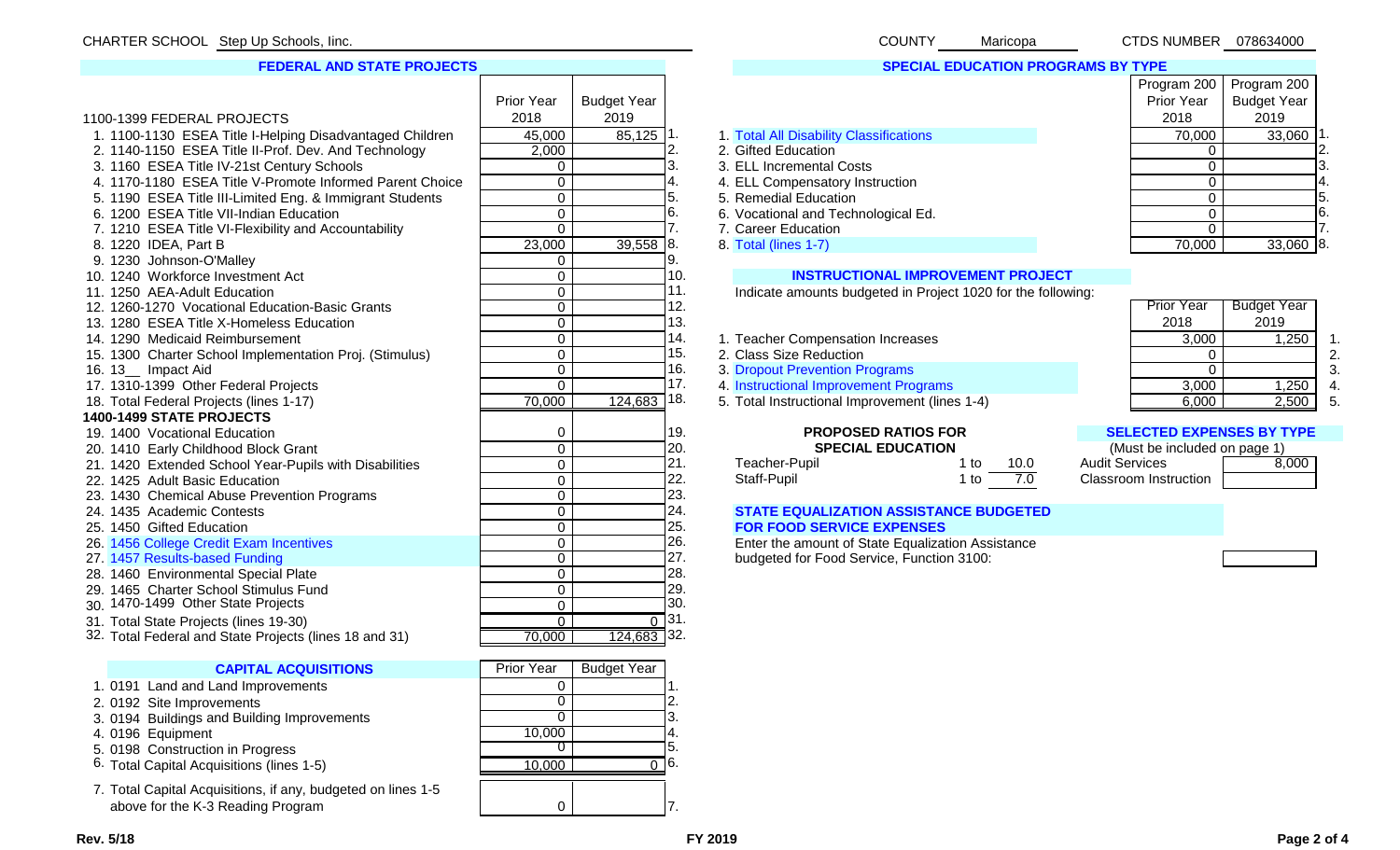# **FEDERAL AND STATE PROJECTS**

|                                                          | Prior Year     | <b>Budget Year</b> |           |                                                              | Prior Year                       | <b>Budget Year</b> |                |
|----------------------------------------------------------|----------------|--------------------|-----------|--------------------------------------------------------------|----------------------------------|--------------------|----------------|
| 1100-1399 FEDERAL PROJECTS                               | 2018           | 2019               |           |                                                              | 2018                             | 2019               |                |
| 1. 1100-1130 ESEA Title I-Helping Disadvantaged Children | 45,000         | $85,125$ 1.        |           | 1. Total All Disability Classifications                      | 70,000                           | $33,060$ 1.        |                |
| 2. 1140-1150 ESEA Title II-Prof. Dev. And Technology     | 2,000          |                    |           | 2. Gifted Education                                          | $\Omega$                         |                    | I2.            |
| 3. 1160 ESEA Title IV-21st Century Schools               | $\Omega$       |                    |           | 3. ELL Incremental Costs                                     | $\Omega$                         |                    | ΙЗ.            |
| 4. 1170-1180 ESEA Title V-Promote Informed Parent Choice | $\overline{0}$ |                    |           | 4. ELL Compensatory Instruction                              | $\Omega$                         |                    |                |
| 5. 1190 ESEA Title III-Limited Eng. & Immigrant Students | $\overline{0}$ |                    | 5.        | 5. Remedial Education                                        | $\Omega$                         |                    | 5.             |
| 6. 1200 ESEA Title VII-Indian Education                  | $\overline{0}$ |                    | 6.        | 6. Vocational and Technological Ed.                          | $\mathbf 0$                      |                    | 6.             |
| 7. 1210 ESEA Title VI-Flexibility and Accountability     | $\overline{0}$ |                    |           | 7. Career Education                                          | $\mathbf 0$                      |                    | 7.             |
| 8. 1220 IDEA, Part B                                     | 23,000         | 39,558             | 18.       | 8. Total (lines 1-7)                                         | 70,000                           | $33,060$ 8.        |                |
| 9. 1230 Johnson-O'Malley                                 | $\mathbf 0$    |                    | 9.        |                                                              |                                  |                    |                |
| 10. 1240 Workforce Investment Act                        | $\mathbf 0$    |                    | 10.       | <b>INSTRUCTIONAL IMPROVEMENT PROJECT</b>                     |                                  |                    |                |
| 11. 1250 AEA-Adult Education                             | 0              |                    | 11.       | Indicate amounts budgeted in Project 1020 for the following: |                                  |                    |                |
| 12. 1260-1270 Vocational Education-Basic Grants          | $\mathbf 0$    |                    | 12.       |                                                              | <b>Prior Year</b>                | <b>Budget Year</b> |                |
| 13. 1280 ESEA Title X-Homeless Education                 | $\overline{0}$ |                    | 13.       |                                                              | 2018                             | 2019               |                |
| 14. 1290 Medicaid Reimbursement                          | $\overline{0}$ |                    | 14.       | 1. Teacher Compensation Increases                            | 3,000                            | 1,250              |                |
| 15. 1300 Charter School Implementation Proj. (Stimulus)  | $\overline{0}$ |                    | 15.       | 2. Class Size Reduction                                      | $\Omega$                         |                    |                |
| 16. 13_ Impact Aid                                       | $\overline{0}$ |                    | 16.       | 3. Dropout Prevention Programs                               | $\overline{0}$                   |                    |                |
| 17. 1310-1399 Other Federal Projects                     | $\overline{0}$ |                    | 17.       | 4. Instructional Improvement Programs                        | 3,000                            | 1,250              | $\overline{4}$ |
| 18. Total Federal Projects (lines 1-17)                  | 70,000         | 124,683            | 18.       | 5. Total Instructional Improvement (lines 1-4)               | 6,000                            | 2,500              | -5             |
| 1400-1499 STATE PROJECTS                                 |                |                    |           |                                                              |                                  |                    |                |
| 19. 1400 Vocational Education                            | 0              |                    | 19.       | <b>PROPOSED RATIOS FOR</b>                                   | <b>SELECTED EXPENSES BY TYPE</b> |                    |                |
| 20. 1410 Early Childhood Block Grant                     | $\overline{0}$ |                    | 20.       | <b>SPECIAL EDUCATION</b>                                     | (Must be included on page 1)     |                    |                |
| 21. 1420 Extended School Year-Pupils with Disabilities   | $\mathbf 0$    |                    | 21.       | Teacher-Pupil<br>1 to<br>10.0                                | <b>Audit Services</b>            | 8,000              |                |
| 22. 1425 Adult Basic Education                           | $\mathbf 0$    |                    | 22.       | 7.0<br>Staff-Pupil<br>1 to                                   | <b>Classroom Instruction</b>     |                    |                |
| 23. 1430 Chemical Abuse Prevention Programs              | $\mathbf 0$    |                    | 23.       |                                                              |                                  |                    |                |
| 24. 1435 Academic Contests                               | $\mathbf 0$    |                    | 24.       | <b>STATE EQUALIZATION ASSISTANCE BUDGETED</b>                |                                  |                    |                |
| 25. 1450 Gifted Education                                | $\mathbf 0$    |                    | 25.       | <b>FOR FOOD SERVICE EXPENSES</b>                             |                                  |                    |                |
| 26. 1456 College Credit Exam Incentives                  | $\overline{0}$ |                    | 26.       | Enter the amount of State Equalization Assistance            |                                  |                    |                |
| 27. 1457 Results-based Funding                           | $\overline{0}$ |                    | 27.       | budgeted for Food Service, Function 3100:                    |                                  |                    |                |
| 28. 1460 Environmental Special Plate                     | $\mathbf 0$    |                    | 28.       |                                                              |                                  |                    |                |
| 29. 1465 Charter School Stimulus Fund                    | $\overline{0}$ |                    | 29.       |                                                              |                                  |                    |                |
| 30. 1470-1499 Other State Projects                       | $\overline{0}$ |                    | 30.       |                                                              |                                  |                    |                |
| 31. Total State Projects (lines 19-30)                   | $\overline{0}$ |                    | $0^{-31}$ |                                                              |                                  |                    |                |
| 32. Total Federal and State Projects (lines 18 and 31)   | 70,000         | $124,683$ 32.      |           |                                                              |                                  |                    |                |
|                                                          | Prior Year     | <b>Budget Year</b> |           |                                                              |                                  |                    |                |
| <b>CAPITAL ACQUISITIONS</b>                              |                |                    |           |                                                              |                                  |                    |                |

- 1. 0191 Land and Land Improvements
- 
- 3. 0194 Buildings and Building Improvements
- 

- 
- 
- 7. Total Capital Acquisitions, if any, budgeted on lines 1-5 above for the K-3 Reading Program

| 3. ELL Incremental Costs            |        |        | IJ. |
|-------------------------------------|--------|--------|-----|
| 4. ELL Compensatory Instruction     |        |        | 4.  |
| 5. Remedial Education               |        |        | l5. |
| 6. Vocational and Technological Ed. |        |        | 16. |
| 7. Career Education                 |        |        |     |
| 8. Total (lines 1-7)                | 70.000 | 33,060 | 18. |
|                                     |        |        |     |

| Program 200 | Program 200        |   |
|-------------|--------------------|---|
| Prior Year  | <b>Budget Year</b> |   |
| 2018        | 2019               |   |
| 70,000      | 33,060             |   |
|             |                    | 2 |
|             |                    | З |
|             |                    |   |

### 10. **INSTRUCTIONAL IMPROVEMENT PROJECT**

- 14. 1. Teacher Compensation Increases  $\begin{array}{|l|l|}\n14. & 1. & \text{Teacher Compensation} \\
\hline\n15. & 2. & \text{Class Size Reduction} \\
\end{array}$ 
	-
- 16. 3. Dropout Prevention Programs 0 16. 3. Dropout Prevention Programs 3. 0 3. 3. 250 16. 3. 250 16. 3. 250 16. 3. 250 16. 3. 250 16. 3. 250 16. 3. 250 16. 250 16. 250 16. 250 16. 250 16. 250 16. 250 16. 250 16. 250 16. 2
	-
	-

| 0 | .         | eacher-Pupil | $+2$      | 10.U | <b>Audit Services</b> |
|---|-----------|--------------|-----------|------|-----------------------|
| 0 | <u>__</u> | Staff-Pupil  | $^{\ast}$ |      | Classroom Instruction |
|   |           |              |           |      |                       |

# **STATE EQUALIZATION ASSISTANCE BUDGETED** 25. **FOR FOOD SERVICE EXPENSES**

#### 0 19. **PROPOSED RATIOS FOR SELECTED EXPENSES BY TYPE**

| (Must be included on page 1) |       |
|------------------------------|-------|
| Audit Services               | 8,000 |
| <b>Classroom Instruction</b> |       |

| <b>CAPITAL ACQUISITIONS</b>                                  | <b>Prior Year</b> | <b>Budget Year</b> |     |
|--------------------------------------------------------------|-------------------|--------------------|-----|
| 1. 0191 Land and Land Improvements                           |                   |                    |     |
| 2. 0192 Site Improvements                                    |                   |                    |     |
| 3. 0194 Buildings and Building Improvements                  | 0                 |                    | ΙЗ. |
| 4.0196 Equipment                                             | 10,000            |                    | Ι4. |
| 5. 0198 Construction in Progress                             |                   |                    | 15. |
| 6. Total Capital Acquisitions (lines 1-5)                    | 10.000            |                    | 16. |
| 7. Total Capital Acquisitions, if any, budgeted on lines 1-5 |                   |                    |     |

 $\overline{0}$ 



COUNTY CTDS NUMBER 078634000

# **SPECIAL EDUCATION PROGRAMS BY TYPE**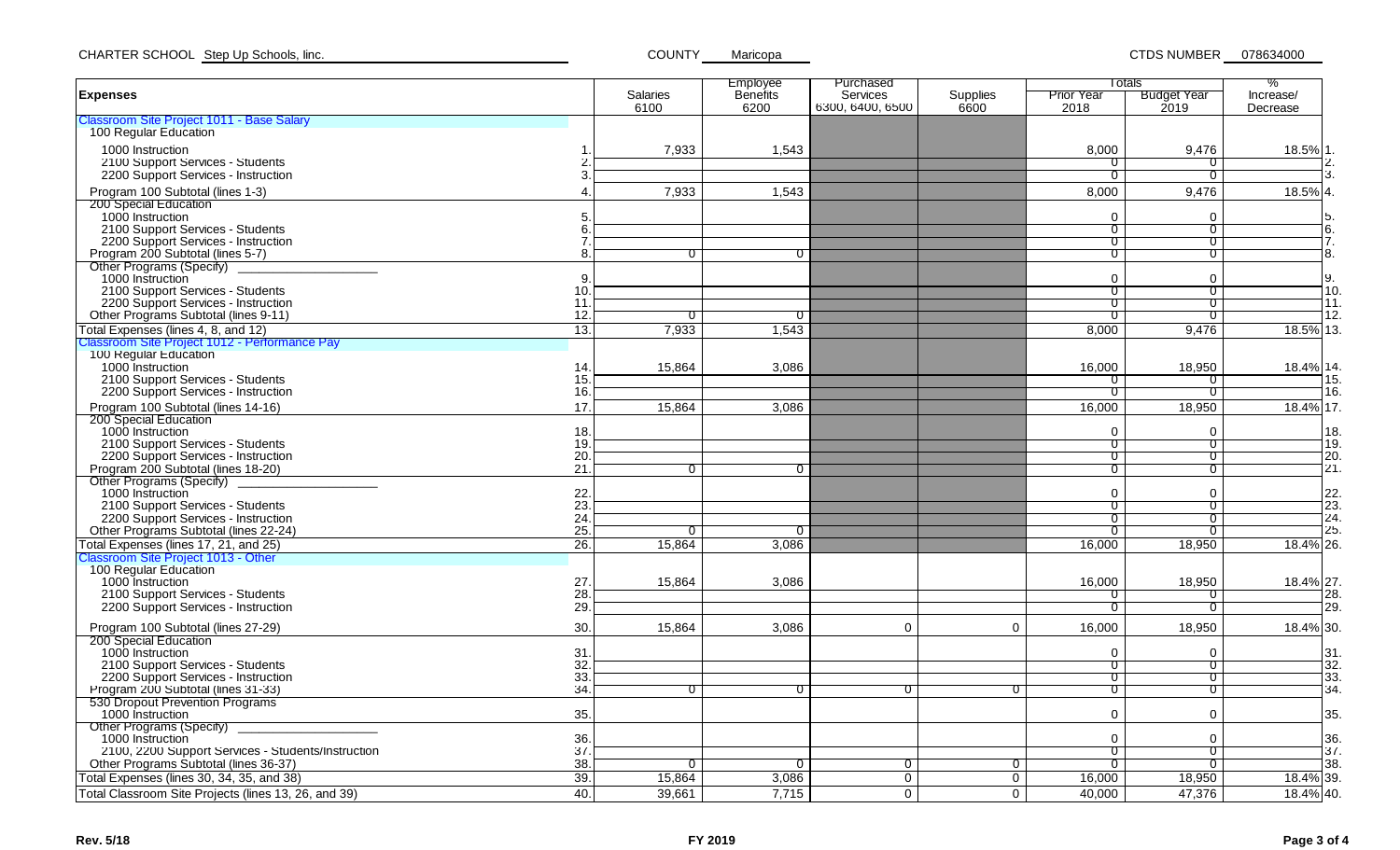Employee Purchasedd I and I Totals i % Increase/ **Expenses** Salaries**Benefits Services** Supplies<br>6600 Prior YearBudget Year<br>2019 6100 6200 6300, 6400, 6500 6600 2018 2019 DecreaseClassroom Site Project 1011 - Base Salary 100Regular Education 1000 Instruction 1.| 7,933 | 1,543 | 8,000 | 9,476 | 18.5%|1. 2100Support Services - Students 2. 0 0 2. 2200 Support Services - Instruction 3. Decreed the control of the control of the control of the control of the control of the control of the control of the control of the control of the control of the contro Program 100 Subtotal (lines 1-3) 1.543 8,000 8,000 8,476 8,000 9,476 8,000 9,476 18.5% 200Special Education 1000 Instruction 5. 0 0 5. 2100Support Services - Students 6. 0 0 6. 2200 Support Services - Instruction 7. Decreed and the contract of the contract of the contract of the contract of the contract of the contract of the contract of the contract of the contract of the contract Program 200 Subtotall (lines 5-7) 8. 0 | 0 | 0 | |8. Other Programs (Specify) \_\_\_\_\_\_\_\_\_\_\_\_\_\_\_\_\_\_\_\_ 1000 Instruction Instruction 9. 0 0 9. 2100Support Services - Students 10. 0 0 10. 2200 Support Services - Instruction **11.** The control of the control of the control of the control of the control of the control of the control of the control of the control of the control of the control of the control of Other Programs Subtotal (lines 9-11) 12. 0 0 0 0 12. Total Expenses (lines 4, 8, and 12) 1,543 18.5% 13. Classroom Site Project 1012 - Performance Pay 100 Regular Education 1000 Instruction 0 Instruction 14.| 15,864 | 3,086 | 16,000 | 18,950 | 18.4%|14. 2100 Support Services - Students 15. 0 0 15. 2200Support Services - Instruction 16. 0 0 16. Program 100 Subtotal (lines 14-16) 17. 15.864 | 3.086 | 16.000 | 18.950 | 18.4% |17. 200Special Education 1000 Instruction 18. 0 0 18. 2100Support Services - Students 19. 0 0 19. 2200Support Services - Instruction 20. 0 0 20. Program 200 Subtotal (lines 18-20) 21. 0 0 0 0 21. Other Programs (Specify) \_\_\_\_\_\_\_\_\_\_\_\_\_\_\_\_\_\_\_\_ 1000 Instruction  $0$  Instruction  $0$  . Instruction  $0$  , the contract of  $0$  and  $0$  and  $0$  and  $0$  and  $1$   $2$   $2$   $2$   $3$ 2100Support Services - Students 23. 0 0 23. 2200Support Services - Instruction 24. 0 0 24. Other Programs Subtotal (lines 22-24) 25. 0 0 0 0 25. Total Expenses (lines 17, 21, and 25) 26. 15,864 3,086 16,000 18,950 18.4% 26. Classroom Site Project 1013 - Other 100 Regular Education 1000 Instruction 0 Instruction 27.| 15,864 | 3,086 | | 16,000 | 18,950 | 18.4%|27. 2100 Support Services - Students 28. 0 0 28. 2200 Support Services - Instruction 29. 0 0 29. Program 100 Subtotal (lines 27-29) 30. 1 15.864 1 3.086 l 0 16.000 l 18.950 l 18.4% 30. 200Special Education 1000 Instruction 31. 0 0 31. 2100Support Services - Students 32. 0 0 32. 2200Support Services - Instruction 33. 0 0 33. Program 200 Subtotal (lines 31-33) 34. 0 0 0 0 0 0 34. 530 Dropout Prevention Programs 1000 Instruction 35. 0 0 35. Other Programs (Specify) \_\_\_\_\_\_\_\_\_\_\_\_\_\_\_\_\_\_\_\_ 1000 Instruction 36. 0 0 36. 2100, 2200 Support Services - Students/Instruction 37. 0 0 37. Other Programs Subtotal (lines 36-37) 38. 0 0 0 0 0 0 38. Total Expenses (lines 30, 34, 35, and 38) 39. 15,864 3,086 0 0 16,000 18,950 18.4% 39. Total Classroom Site Projects (lines 13, 26, and 39) 40. 39,661 7,715 0 0 40,000 47,376 18.4% 40. Totals

**COUNTY** 

Maricopa CTDS NUMBER 078634000

CHARTER SCHOOL Step Up Schools, linc.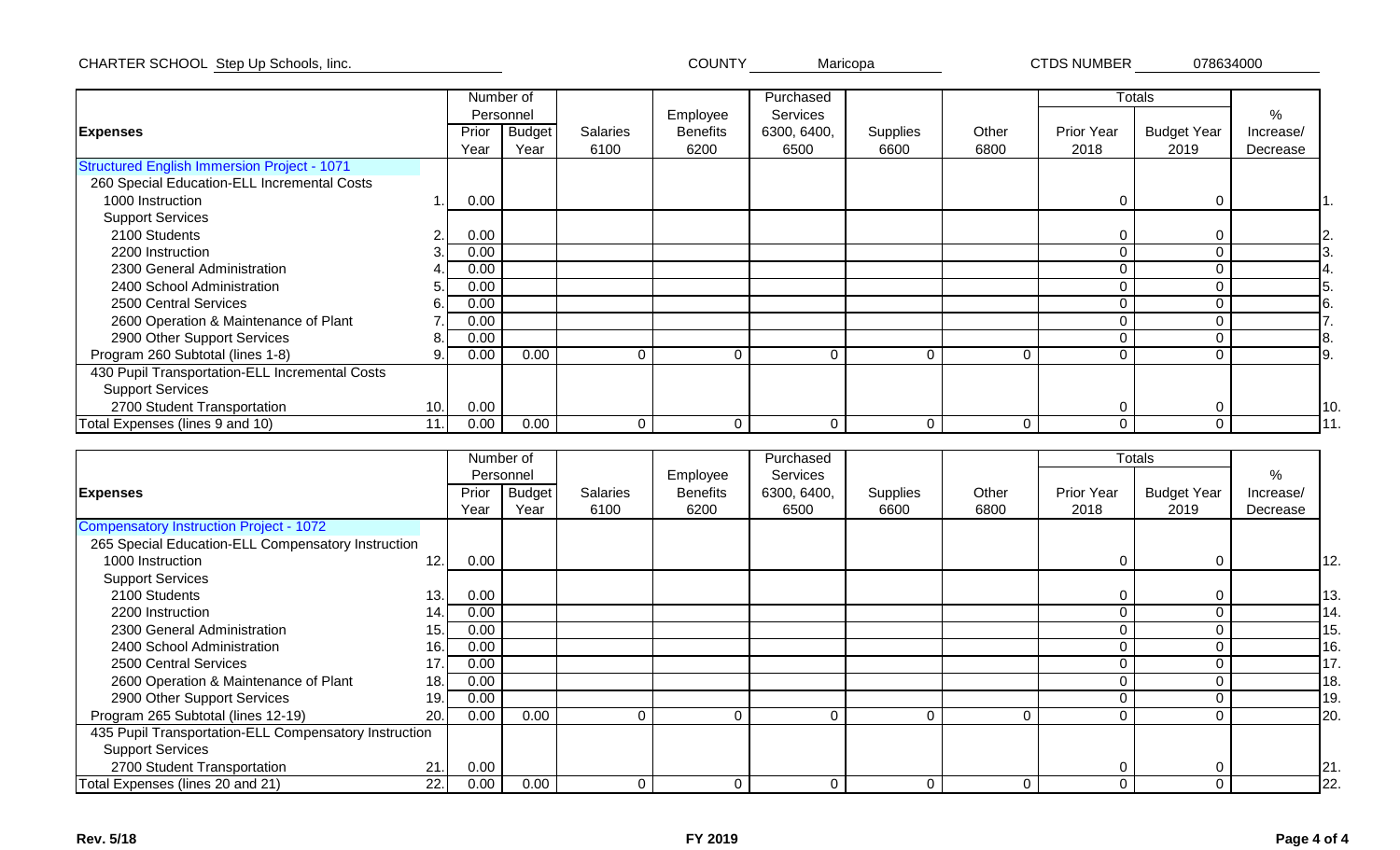CHARTER SCHOOL COUNTY CTDS NUMBERStep Up Schools, Iinc. Maricopa 078634000 **CTDS NUMBER** 

|                                                    |                | Number of |           |                 |                 | Purchased   |          |          |            | <b>Totals</b>      |           |
|----------------------------------------------------|----------------|-----------|-----------|-----------------|-----------------|-------------|----------|----------|------------|--------------------|-----------|
|                                                    |                |           | Personnel |                 | Employee        | Services    |          |          |            |                    | %         |
| <b>Expenses</b>                                    |                | Prior     | Budget    | <b>Salaries</b> | <b>Benefits</b> | 6300, 6400, | Supplies | Other    | Prior Year | <b>Budget Year</b> | Increase/ |
|                                                    |                | Year      | Year      | 6100            | 6200            | 6500        | 6600     | 6800     | 2018       | 2019               | Decrease  |
| <b>Structured English Immersion Project - 1071</b> |                |           |           |                 |                 |             |          |          |            |                    |           |
| 260 Special Education-ELL Incremental Costs        |                |           |           |                 |                 |             |          |          |            |                    |           |
| 1000 Instruction                                   |                | 0.00      |           |                 |                 |             |          |          | 0          | 0                  |           |
| <b>Support Services</b>                            |                |           |           |                 |                 |             |          |          |            |                    |           |
| 2100 Students                                      | $\overline{2}$ | 0.00      |           |                 |                 |             |          |          | 0          |                    |           |
| 2200 Instruction                                   |                | 0.00      |           |                 |                 |             |          |          | 0          |                    |           |
| 2300 General Administration                        |                | 0.00      |           |                 |                 |             |          |          | 0          |                    |           |
| 2400 School Administration                         |                | 0.00      |           |                 |                 |             |          |          |            |                    |           |
| 2500 Central Services                              |                | 0.00      |           |                 |                 |             |          |          | 0          |                    |           |
| 2600 Operation & Maintenance of Plant              |                | 0.00      |           |                 |                 |             |          |          | 0          |                    |           |
| 2900 Other Support Services                        | 8.             | 0.00      |           |                 |                 |             |          |          | 0          |                    |           |
| Program 260 Subtotal (lines 1-8)                   | 9              | 0.00      | 0.00      | $\Omega$        | $\Omega$        | 0           | $\Omega$ | $\Omega$ | 0          | 0                  | 9.        |
| 430 Pupil Transportation-ELL Incremental Costs     |                |           |           |                 |                 |             |          |          |            |                    |           |
| <b>Support Services</b>                            |                |           |           |                 |                 |             |          |          |            |                    |           |
| 2700 Student Transportation                        | 10.            | 0.00      |           |                 |                 |             |          |          | 0          | $\Omega$           | 10        |
| Total Expenses (lines 9 and 10)                    | 11.            | 0.00      | 0.00      | $\Omega$        | $\Omega$        | $\Omega$    | $\Omega$ | $\Omega$ | 0          | 0                  |           |

|                                                       |     |       | Number of     |                 |                 | Purchased   |          |          |                   | <b>Totals</b>      |           |         |
|-------------------------------------------------------|-----|-------|---------------|-----------------|-----------------|-------------|----------|----------|-------------------|--------------------|-----------|---------|
|                                                       |     |       | Personnel     |                 | Employee        | Services    |          |          |                   |                    | %         |         |
| <b>Expenses</b>                                       |     | Prior | <b>Budget</b> | <b>Salaries</b> | <b>Benefits</b> | 6300, 6400, | Supplies | Other    | <b>Prior Year</b> | <b>Budget Year</b> | Increase/ |         |
|                                                       |     | Year  | Year          | 6100            | 6200            | 6500        | 6600     | 6800     | 2018              | 2019               | Decrease  |         |
| <b>Compensatory Instruction Project - 1072</b>        |     |       |               |                 |                 |             |          |          |                   |                    |           |         |
| 265 Special Education-ELL Compensatory Instruction    |     |       |               |                 |                 |             |          |          |                   |                    |           |         |
| 1000 Instruction                                      | 12. | 0.00  |               |                 |                 |             |          |          | 0                 | $\Omega$           |           | 12.     |
| <b>Support Services</b>                               |     |       |               |                 |                 |             |          |          |                   |                    |           |         |
| 2100 Students                                         | 13. | 0.00  |               |                 |                 |             |          |          | 0                 |                    |           | 13.     |
| 2200 Instruction                                      | 14. | 0.00  |               |                 |                 |             |          |          | 0                 |                    |           | 14.     |
| 2300 General Administration                           | 15. | 0.00  |               |                 |                 |             |          |          | 0                 |                    |           | 15.     |
| 2400 School Administration                            | 16. | 0.00  |               |                 |                 |             |          |          | $\Omega$          |                    |           | 16.     |
| 2500 Central Services                                 | 17  | 0.00  |               |                 |                 |             |          |          | $\Omega$          |                    |           | 17.     |
| 2600 Operation & Maintenance of Plant                 | 18. | 0.00  |               |                 |                 |             |          |          | 0                 |                    |           | 18.     |
| 2900 Other Support Services                           | 19. | 0.00  |               |                 |                 |             |          |          | 0                 |                    |           | 19.     |
| Program 265 Subtotal (lines 12-19)                    | 20. | 0.00  | 0.00          | 0               | $\mathbf 0$     | $\Omega$    | $\Omega$ | $\Omega$ | 0                 | $\Omega$           |           | 20.     |
| 435 Pupil Transportation-ELL Compensatory Instruction |     |       |               |                 |                 |             |          |          |                   |                    |           |         |
| <b>Support Services</b>                               |     |       |               |                 |                 |             |          |          |                   |                    |           |         |
| 2700 Student Transportation                           | 21  | 0.00  |               |                 |                 |             |          |          | 0                 | ∩                  |           | $ 21$ . |
| Total Expenses (lines 20 and 21)                      | 22. | 0.00  | 0.00          | 0               | $\Omega$        | $\Omega$    | $\Omega$ | 0        | 0                 | $\Omega$           |           | 22.     |